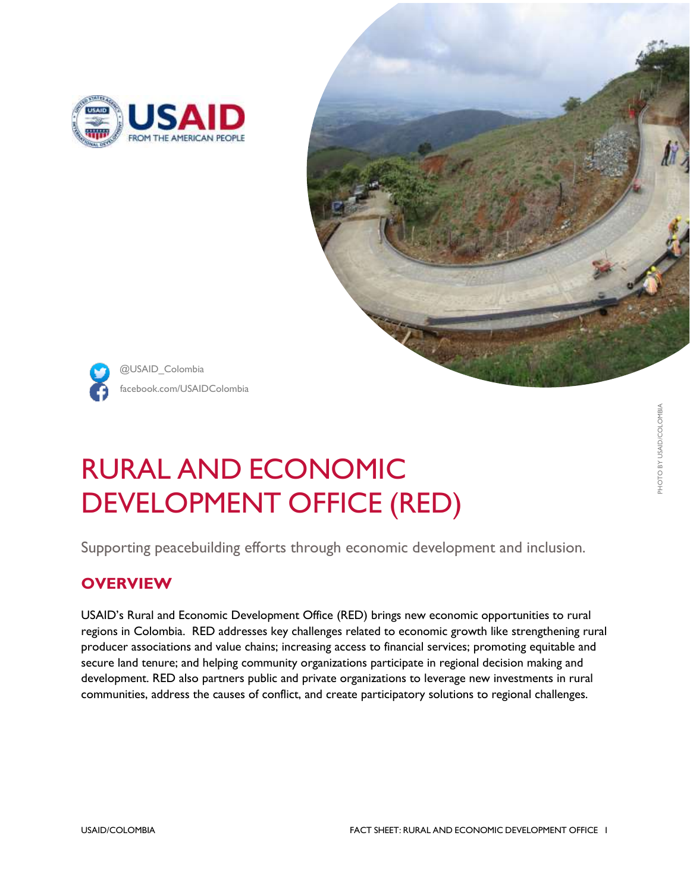





facebook.com/USAIDColombia @USAID\_Colombia

# RURAL AND ECONOMIC DEVELOPMENT OFFICE (RED)

Supporting peacebuilding efforts through economic development and inclusion.

## **OVERVIEW**

USAID's Rural and Economic Development Office (RED) brings new economic opportunities to rural regions in Colombia. RED addresses key challenges related to economic growth like strengthening rural producer associations and value chains; increasing access to financial services; promoting equitable and secure land tenure; and helping community organizations participate in regional decision making and development. RED also partners public and private organizations to leverage new investments in rural communities, address the causes of conflict, and create participatory solutions to regional challenges.